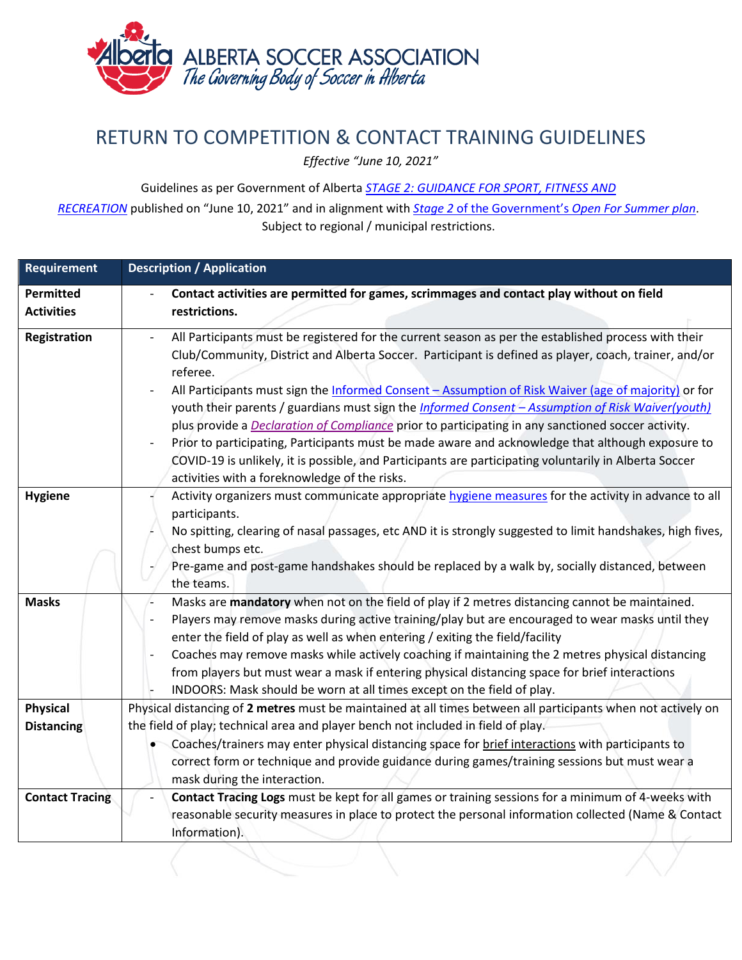

## RETURN TO COMPETITION & CONTACT TRAINING GUIDELINES

*Effective "June 10, 2021"*

Guidelines as per Government of Alberta *[STAGE 2: GUIDANCE FOR SPORT, FITNESS AND](https://open.alberta.ca/publications/covid-19-information-guidance-for-sport-fitness-and-recreation)*

*[RECREATION](https://open.alberta.ca/publications/covid-19-information-guidance-for-sport-fitness-and-recreation)* published on "June 10, 2021" and in alignment with *Stage 2* of the Government's *[Open For Summer plan](https://www.alberta.ca/enhanced-public-health-measures.aspx#restrictions)*. Subject to regional / municipal restrictions.

| <b>Requirement</b>                   | <b>Description / Application</b>                                                                                                                                                                                                                                                                                                                                                                                                                                                                                                                                                                                                                                                                                                                                                                                           |
|--------------------------------------|----------------------------------------------------------------------------------------------------------------------------------------------------------------------------------------------------------------------------------------------------------------------------------------------------------------------------------------------------------------------------------------------------------------------------------------------------------------------------------------------------------------------------------------------------------------------------------------------------------------------------------------------------------------------------------------------------------------------------------------------------------------------------------------------------------------------------|
| <b>Permitted</b>                     | Contact activities are permitted for games, scrimmages and contact play without on field                                                                                                                                                                                                                                                                                                                                                                                                                                                                                                                                                                                                                                                                                                                                   |
| <b>Activities</b>                    | restrictions.                                                                                                                                                                                                                                                                                                                                                                                                                                                                                                                                                                                                                                                                                                                                                                                                              |
| <b>Registration</b>                  | All Participants must be registered for the current season as per the established process with their<br>Club/Community, District and Alberta Soccer. Participant is defined as player, coach, trainer, and/or<br>referee.<br>All Participants must sign the Informed Consent - Assumption of Risk Waiver (age of majority) or for<br>youth their parents / guardians must sign the <i>Informed Consent - Assumption of Risk Waiver(youth)</i><br>plus provide a <b>Declaration of Compliance</b> prior to participating in any sanctioned soccer activity.<br>Prior to participating, Participants must be made aware and acknowledge that although exposure to<br>COVID-19 is unlikely, it is possible, and Participants are participating voluntarily in Alberta Soccer<br>activities with a foreknowledge of the risks. |
| <b>Hygiene</b>                       | Activity organizers must communicate appropriate hygiene measures for the activity in advance to all<br>participants.<br>No spitting, clearing of nasal passages, etc AND it is strongly suggested to limit handshakes, high fives,<br>chest bumps etc.<br>Pre-game and post-game handshakes should be replaced by a walk by, socially distanced, between<br>the teams.                                                                                                                                                                                                                                                                                                                                                                                                                                                    |
| <b>Masks</b>                         | Masks are mandatory when not on the field of play if 2 metres distancing cannot be maintained.<br>Players may remove masks during active training/play but are encouraged to wear masks until they<br>enter the field of play as well as when entering / exiting the field/facility<br>Coaches may remove masks while actively coaching if maintaining the 2 metres physical distancing<br>from players but must wear a mask if entering physical distancing space for brief interactions<br>INDOORS: Mask should be worn at all times except on the field of play.                                                                                                                                                                                                                                                        |
| <b>Physical</b><br><b>Distancing</b> | Physical distancing of 2 metres must be maintained at all times between all participants when not actively on<br>the field of play; technical area and player bench not included in field of play.<br>Coaches/trainers may enter physical distancing space for brief interactions with participants to<br>correct form or technique and provide guidance during games/training sessions but must wear a<br>mask during the interaction.                                                                                                                                                                                                                                                                                                                                                                                    |
| <b>Contact Tracing</b>               | Contact Tracing Logs must be kept for all games or training sessions for a minimum of 4-weeks with<br>reasonable security measures in place to protect the personal information collected (Name & Contact<br>Information).                                                                                                                                                                                                                                                                                                                                                                                                                                                                                                                                                                                                 |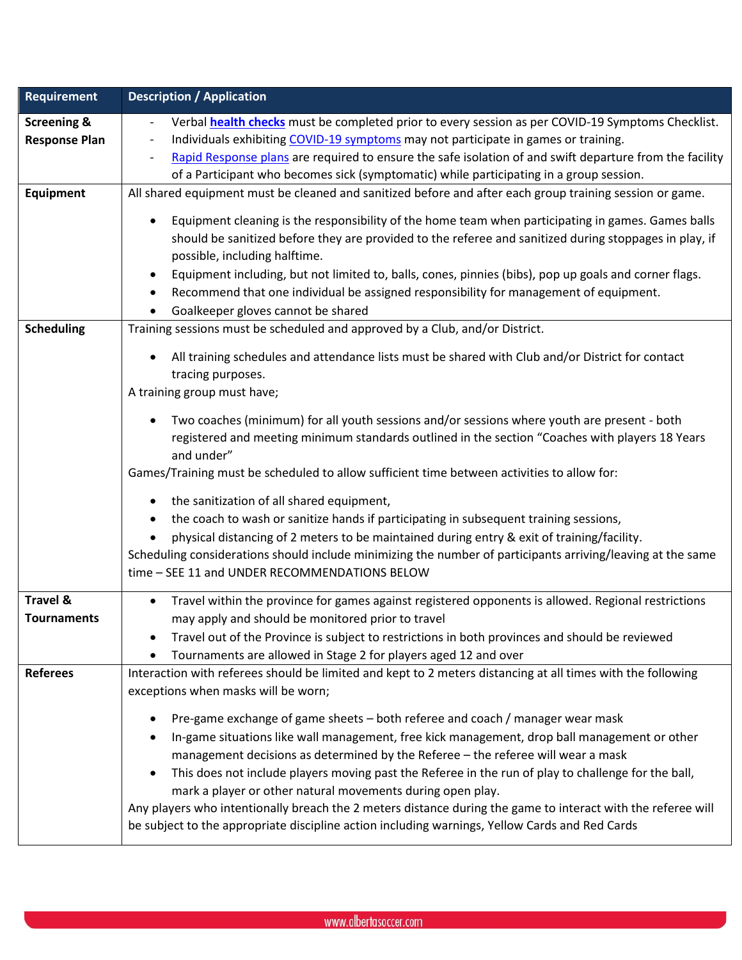| <b>Requirement</b>                             | <b>Description / Application</b>                                                                                                                                                                                                                                                                                                                                                                                                                                                                                                                                                                                                                         |
|------------------------------------------------|----------------------------------------------------------------------------------------------------------------------------------------------------------------------------------------------------------------------------------------------------------------------------------------------------------------------------------------------------------------------------------------------------------------------------------------------------------------------------------------------------------------------------------------------------------------------------------------------------------------------------------------------------------|
| <b>Screening &amp;</b><br><b>Response Plan</b> | Verbal <b>health checks</b> must be completed prior to every session as per COVID-19 Symptoms Checklist.<br>Individuals exhibiting COVID-19 symptoms may not participate in games or training.<br>Rapid Response plans are required to ensure the safe isolation of and swift departure from the facility<br>of a Participant who becomes sick (symptomatic) while participating in a group session.                                                                                                                                                                                                                                                     |
| <b>Equipment</b>                               | All shared equipment must be cleaned and sanitized before and after each group training session or game.                                                                                                                                                                                                                                                                                                                                                                                                                                                                                                                                                 |
|                                                | Equipment cleaning is the responsibility of the home team when participating in games. Games balls<br>should be sanitized before they are provided to the referee and sanitized during stoppages in play, if<br>possible, including halftime.<br>Equipment including, but not limited to, balls, cones, pinnies (bibs), pop up goals and corner flags.<br>Recommend that one individual be assigned responsibility for management of equipment.<br>Goalkeeper gloves cannot be shared                                                                                                                                                                    |
| <b>Scheduling</b>                              | Training sessions must be scheduled and approved by a Club, and/or District.                                                                                                                                                                                                                                                                                                                                                                                                                                                                                                                                                                             |
|                                                | All training schedules and attendance lists must be shared with Club and/or District for contact<br>tracing purposes.<br>A training group must have;                                                                                                                                                                                                                                                                                                                                                                                                                                                                                                     |
|                                                | Two coaches (minimum) for all youth sessions and/or sessions where youth are present - both<br>registered and meeting minimum standards outlined in the section "Coaches with players 18 Years<br>and under"<br>Games/Training must be scheduled to allow sufficient time between activities to allow for:                                                                                                                                                                                                                                                                                                                                               |
|                                                |                                                                                                                                                                                                                                                                                                                                                                                                                                                                                                                                                                                                                                                          |
|                                                | the sanitization of all shared equipment,<br>the coach to wash or sanitize hands if participating in subsequent training sessions,<br>physical distancing of 2 meters to be maintained during entry & exit of training/facility.<br>Scheduling considerations should include minimizing the number of participants arriving/leaving at the same                                                                                                                                                                                                                                                                                                          |
|                                                | time - SEE 11 and UNDER RECOMMENDATIONS BELOW                                                                                                                                                                                                                                                                                                                                                                                                                                                                                                                                                                                                            |
| <b>Travel &amp;</b><br><b>Tournaments</b>      | Travel within the province for games against registered opponents is allowed. Regional restrictions<br>may apply and should be monitored prior to travel                                                                                                                                                                                                                                                                                                                                                                                                                                                                                                 |
|                                                | Travel out of the Province is subject to restrictions in both provinces and should be reviewed<br>Tournaments are allowed in Stage 2 for players aged 12 and over                                                                                                                                                                                                                                                                                                                                                                                                                                                                                        |
| <b>Referees</b>                                | Interaction with referees should be limited and kept to 2 meters distancing at all times with the following<br>exceptions when masks will be worn;                                                                                                                                                                                                                                                                                                                                                                                                                                                                                                       |
|                                                | Pre-game exchange of game sheets - both referee and coach / manager wear mask<br>In-game situations like wall management, free kick management, drop ball management or other<br>management decisions as determined by the Referee - the referee will wear a mask<br>This does not include players moving past the Referee in the run of play to challenge for the ball,<br>mark a player or other natural movements during open play.<br>Any players who intentionally breach the 2 meters distance during the game to interact with the referee will<br>be subject to the appropriate discipline action including warnings, Yellow Cards and Red Cards |